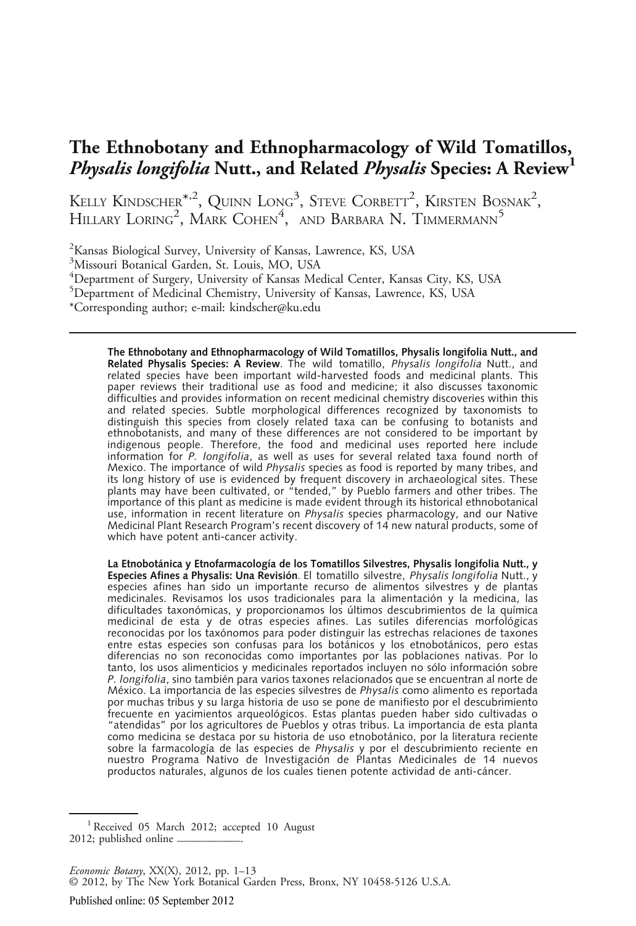# The Ethnobotany and Ethnopharmacology of Wild Tomatillos, *Physalis longifolia* Nutt., and Related *Physalis* Species: A Review<sup>1</sup>

KELLY KINDSCHER $^{\ast,2}$ , Quinn Long $^3$ , Steve Corbett<sup>2</sup>, Kirsten Bosnak<sup>2</sup>, HILLARY LORING<sup>2</sup>, MARK COHEN<sup>4</sup>, AND BARBARA N. TIMMERMANN<sup>5</sup>

<sup>2</sup>Kansas Biological Survey, University of Kansas, Lawrence, KS, USA

3 Missouri Botanical Garden, St. Louis, MO, USA

4 Department of Surgery, University of Kansas Medical Center, Kansas City, KS, USA

5 Department of Medicinal Chemistry, University of Kansas, Lawrence, KS, USA

\*Corresponding author; e-mail: kindscher@ku.edu

The Ethnobotany and Ethnopharmacology of Wild Tomatillos, Physalis longifolia Nutt., and **Related Physalis Species: A Review**. The wild tomatillo, *Physalis longifolia* Nutt., and<br>related species have been important wild-harvested foods and medicinal plants. This paper reviews their traditional use as food and medicine; it also discusses taxonomic difficulties and provides information on recent medicinal chemistry discoveries within this and related species. Subtle morphological differences recognized by taxonomists to distinguish this species from closely related taxa can be confusing to botanists and ethnobotanists, and many of these differences are not considered to be important by indigenous people. Therefore, the food and medicinal uses reported here include information for *P. longifolia*, as well as uses for several related taxa found north of<br>Mexico. The importance of wild *Physalis* species as food is reported by many tribes, and Mexico. The importance of wild *Physalis* species as food is reported by many tribes, and<br>its long history of use is evidenced by frequent discovery in archaeological sites. These its long history of use is evidenced by frequent discovery in archaeological sites. These plants may have been cultivated, or "tended," by Pueblo farmers and other tribes. The importance of this plant as medicine is made evident through its historical ethnobotanical use, information in recent literature on Physalis species pharmacology, and our Native Medicinal Plant Research Program's recent discovery of 14 new natural products, some of which have potent anti-cancer activity.

La Etnobotánica y Etnofarmacología de los Tomatillos Silvestres, Physalis longifolia Nutt., y<br>Especies Afines a Physalis: Una Revisión. El tomatillo silvestre, Physalis longifolia Nutt., y **Especies Afines a Physalis: Una Revisión**. El tomatillo silvestre, *Physalis longifolia* Nutt., y<br>especies afines han sido un importante recurso de alimentos silvestres y de plantas medicinales. Revisamos los usos tradicionales para la alimentación y la medicina, las dificultades taxonómicas, y proporcionamos los últimos descubrimientos de la química medicinal de esta y de otras especies afines. Las sutiles diferencias morfológicas reconocidas por los taxónomos para poder distinguir las estrechas relaciones de taxones entre estas especies son confusas para los botánicos y los etnobotánicos, pero estas diferencias no son reconocidas como importantes por las poblaciones nativas. Por lo tanto, los usos alimenticios y medicinales reportados incluyen no sólo información sobre P. *longifolia*, sino también para varios taxones relacionados que se encuentran al norte de<br>México. La importancia de las especies silvestres de *Physalis* como alimento es reportada México. La importancia de las especies silvestres de *Physalis* como alimento es reportada<br>por muchas tribus y su larga historia de uso se pone de manifiesto por el descubrimiento por muchas tribus y su larga historia de uso se pone de manifiesto por el descubrimiento frecuente en yacimientos arqueológicos. Estas plantas pueden haber sido cultivadas o "atendidas" por los agricultores de Pueblos y otras tribus. La importancia de esta planta como medicina se destaca por su historia de uso etnobotánico, por la literatura reciente sobre la farmacología de las especies de *Physalis* y por el descubrimiento reciente en<br>nuestro Programa Nativo de Investigación de Plantas Medicinales de 14 nuevos productos naturales, algunos de los cuales tienen potente actividad de anti-cáncer.

<sup>&</sup>lt;sup>1</sup> Received 05 March 2012; accepted 10 August 2012; published online  $-$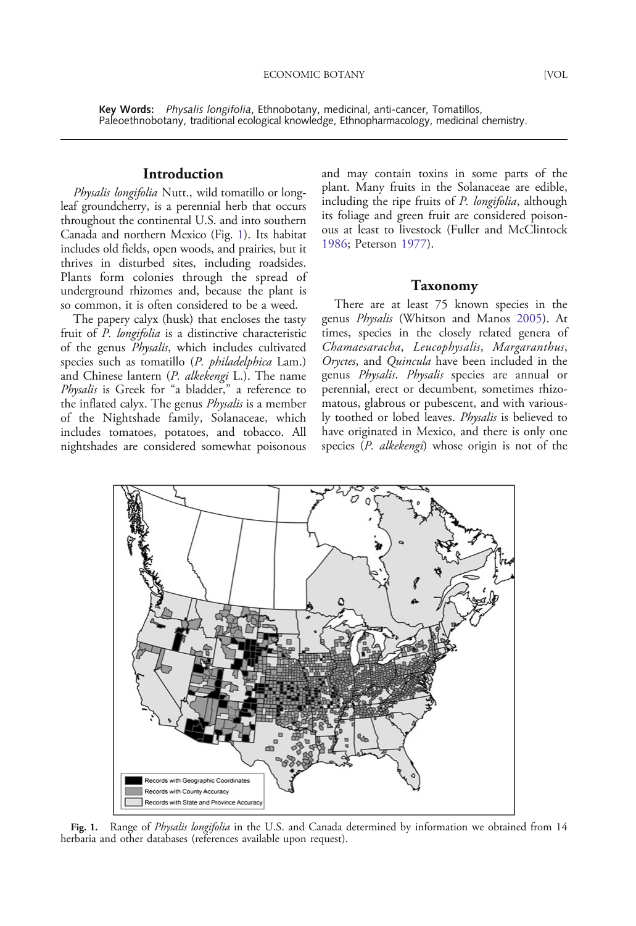Key Words: Physalis longifolia, Ethnobotany, medicinal, anti-cancer, Tomatillos, Paleoethnobotany, traditional ecological knowledge, Ethnopharmacology, medicinal chemistry.

## Introduction

Physalis longifolia Nutt., wild tomatillo or longleaf groundcherry, is a perennial herb that occurs throughout the continental U.S. and into southern Canada and northern Mexico (Fig. 1). Its habitat includes old fields, open woods, and prairies, but it thrives in disturbed sites, including roadsides. Plants form colonies through the spread of underground rhizomes and, because the plant is so common, it is often considered to be a weed.

The papery calyx (husk) that encloses the tasty fruit of P. longifolia is a distinctive characteristic of the genus *Physalis*, which includes cultivated species such as tomatillo (P. philadelphica Lam.) and Chinese lantern (P. alkekengi L.). The name Physalis is Greek for "a bladder," a reference to the inflated calyx. The genus *Physalis* is a member of the Nightshade family, Solanaceae, which includes tomatoes, potatoes, and tobacco. All nightshades are considered somewhat poisonous

and may contain toxins in some parts of the plant. Many fruits in the Solanaceae are edible, including the ripe fruits of *P. longifolia*, although its foliage and green fruit are considered poisonous at least to livestock (Fuller and McClintock [1986](#page-10-0); Peterson [1977](#page-11-0)).

#### Taxonomy

There are at least 75 known species in the genus Physalis (Whitson and Manos [2005\)](#page-12-0). At times, species in the closely related genera of Chamaesaracha, Leucophysalis, Margaranthus, Oryctes, and Quincula have been included in the genus Physalis. Physalis species are annual or perennial, erect or decumbent, sometimes rhizomatous, glabrous or pubescent, and with variously toothed or lobed leaves. Physalis is believed to have originated in Mexico, and there is only one species (P. alkekengi) whose origin is not of the



Fig. 1. Range of Physalis longifolia in the U.S. and Canada determined by information we obtained from 14 herbaria and other databases (references available upon request).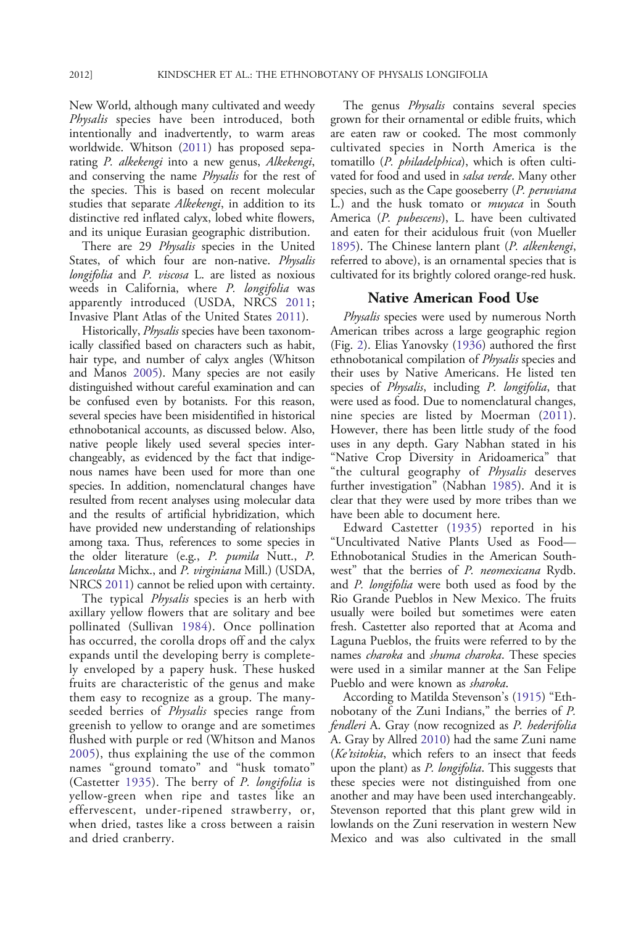New World, although many cultivated and weedy Physalis species have been introduced, both intentionally and inadvertently, to warm areas worldwide. Whitson ([2011\)](#page-12-0) has proposed separating P. alkekengi into a new genus, Alkekengi, and conserving the name Physalis for the rest of the species. This is based on recent molecular studies that separate *Alkekengi*, in addition to its distinctive red inflated calyx, lobed white flowers, and its unique Eurasian geographic distribution.

There are 29 Physalis species in the United States, of which four are non-native. Physalis longifolia and P. viscosa L. are listed as noxious weeds in California, where P. longifolia was apparently introduced (USDA, NRCS [2011;](#page-11-0) Invasive Plant Atlas of the United States [2011\)](#page-10-0).

Historically, *Physalis* species have been taxonomically classified based on characters such as habit, hair type, and number of calyx angles (Whitson and Manos [2005](#page-12-0)). Many species are not easily distinguished without careful examination and can be confused even by botanists. For this reason, several species have been misidentified in historical ethnobotanical accounts, as discussed below. Also, native people likely used several species interchangeably, as evidenced by the fact that indigenous names have been used for more than one species. In addition, nomenclatural changes have resulted from recent analyses using molecular data and the results of artificial hybridization, which have provided new understanding of relationships among taxa. Thus, references to some species in the older literature (e.g., P. pumila Nutt., P. lanceolata Michx., and P. virginiana Mill.) (USDA, NRCS [2011](#page-11-0)) cannot be relied upon with certainty.

The typical *Physalis* species is an herb with axillary yellow flowers that are solitary and bee pollinated (Sullivan [1984\)](#page-11-0). Once pollination has occurred, the corolla drops off and the calyx expands until the developing berry is completely enveloped by a papery husk. These husked fruits are characteristic of the genus and make them easy to recognize as a group. The manyseeded berries of *Physalis* species range from greenish to yellow to orange and are sometimes flushed with purple or red (Whitson and Manos [2005](#page-12-0)), thus explaining the use of the common names "ground tomato" and "husk tomato" (Castetter [1935](#page-9-0)). The berry of P. longifolia is yellow-green when ripe and tastes like an effervescent, under-ripened strawberry, or, when dried, tastes like a cross between a raisin and dried cranberry.

The genus *Physalis* contains several species grown for their ornamental or edible fruits, which are eaten raw or cooked. The most commonly cultivated species in North America is the tomatillo (P. *philadelphica*), which is often cultivated for food and used in salsa verde. Many other species, such as the Cape gooseberry (P. peruviana L.) and the husk tomato or *muyaca* in South America (P. pubescens), L. have been cultivated and eaten for their acidulous fruit (von Mueller [1895](#page-11-0)). The Chinese lantern plant (P. alkenkengi, referred to above), is an ornamental species that is cultivated for its brightly colored orange-red husk.

# Native American Food Use

*Physalis* species were used by numerous North American tribes across a large geographic region (Fig. [2\)](#page-3-0). Elias Yanovsky [\(1936](#page-12-0)) authored the first ethnobotanical compilation of *Physalis* species and their uses by Native Americans. He listed ten species of Physalis, including P. longifolia, that were used as food. Due to nomenclatural changes, nine species are listed by Moerman [\(2011\)](#page-11-0). However, there has been little study of the food uses in any depth. Gary Nabhan stated in his "Native Crop Diversity in Aridoamerica" that "the cultural geography of Physalis deserves further investigation" (Nabhan [1985\)](#page-11-0). And it is clear that they were used by more tribes than we have been able to document here.

Edward Castetter ([1935\)](#page-9-0) reported in his "Uncultivated Native Plants Used as Food— Ethnobotanical Studies in the American Southwest" that the berries of P. *neomexicana* Rydb. and P. longifolia were both used as food by the Rio Grande Pueblos in New Mexico. The fruits usually were boiled but sometimes were eaten fresh. Castetter also reported that at Acoma and Laguna Pueblos, the fruits were referred to by the names *charoka* and *shuma charoka*. These species were used in a similar manner at the San Felipe Pueblo and were known as sharoka.

According to Matilda Stevenson's ([1915\)](#page-11-0) "Ethnobotany of the Zuni Indians," the berries of P. fendleri A. Gray (now recognized as P. hederifolia A. Gray by Allred [2010](#page-9-0)) had the same Zuni name (Ke'tsitokia, which refers to an insect that feeds upon the plant) as *P. longifolia*. This suggests that these species were not distinguished from one another and may have been used interchangeably. Stevenson reported that this plant grew wild in lowlands on the Zuni reservation in western New Mexico and was also cultivated in the small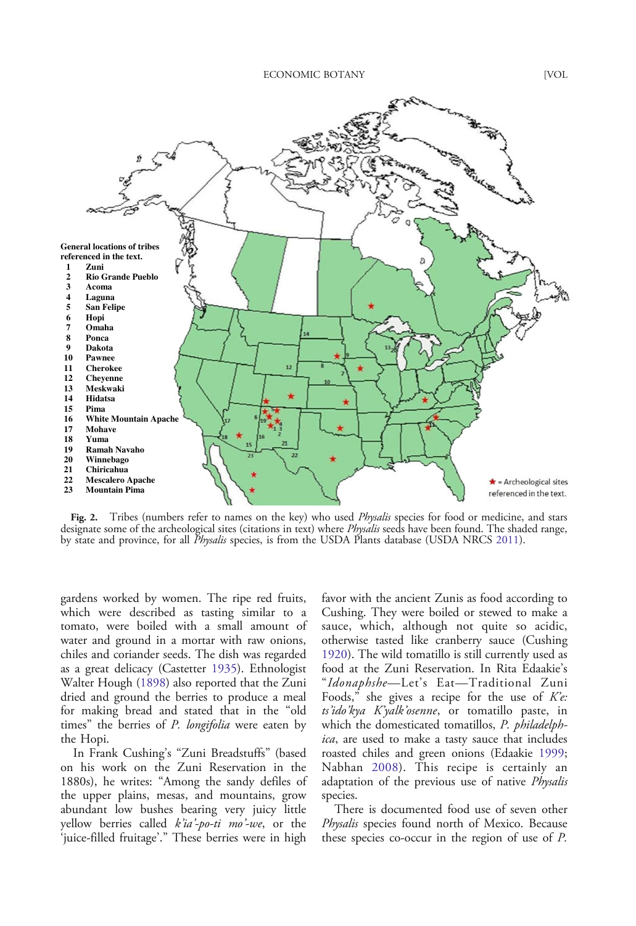<span id="page-3-0"></span>

Fig. 2. Tribes (numbers refer to names on the key) who used *Physalis* species for food or medicine, and stars designate some of the archeological sites (citations in text) where *Physalis* seeds have been found. The shaded range, by state and province, for all *Physalis* species, is from the USDA Plants database (USDA NRCS [2011\)](#page-11-0).

gardens worked by women. The ripe red fruits, which were described as tasting similar to a tomato, were boiled with a small amount of water and ground in a mortar with raw onions, chiles and coriander seeds. The dish was regarded as a great delicacy (Castetter [1935](#page-9-0)). Ethnologist Walter Hough [\(1898\)](#page-10-0) also reported that the Zuni dried and ground the berries to produce a meal for making bread and stated that in the "old times" the berries of *P. longifolia* were eaten by the Hopi.

In Frank Cushing's "Zuni Breadstuffs" (based on his work on the Zuni Reservation in the 1880s), he writes: "Among the sandy defiles of the upper plains, mesas, and mountains, grow abundant low bushes bearing very juicy little yellow berries called  $k'i$ a'-po-ti mo'-we, or the 'juice-filled fruitage'." These berries were in high favor with the ancient Zunis as food according to Cushing. They were boiled or stewed to make a sauce, which, although not quite so acidic, otherwise tasted like cranberry sauce (Cushing [1920](#page-9-0)). The wild tomatillo is still currently used as food at the Zuni Reservation. In Rita Edaakie's "Idonaphshe—Let's Eat—Traditional Zuni Foods," she gives a recipe for the use of  $Ke$ : ts'ido'kya K'yalk'osenne, or tomatillo paste, in which the domesticated tomatillos, P. philadelphica, are used to make a tasty sauce that includes roasted chiles and green onions (Edaakie [1999](#page-9-0); Nabhan [2008](#page-11-0)). This recipe is certainly an adaptation of the previous use of native Physalis species.

There is documented food use of seven other Physalis species found north of Mexico. Because these species co-occur in the region of use of P.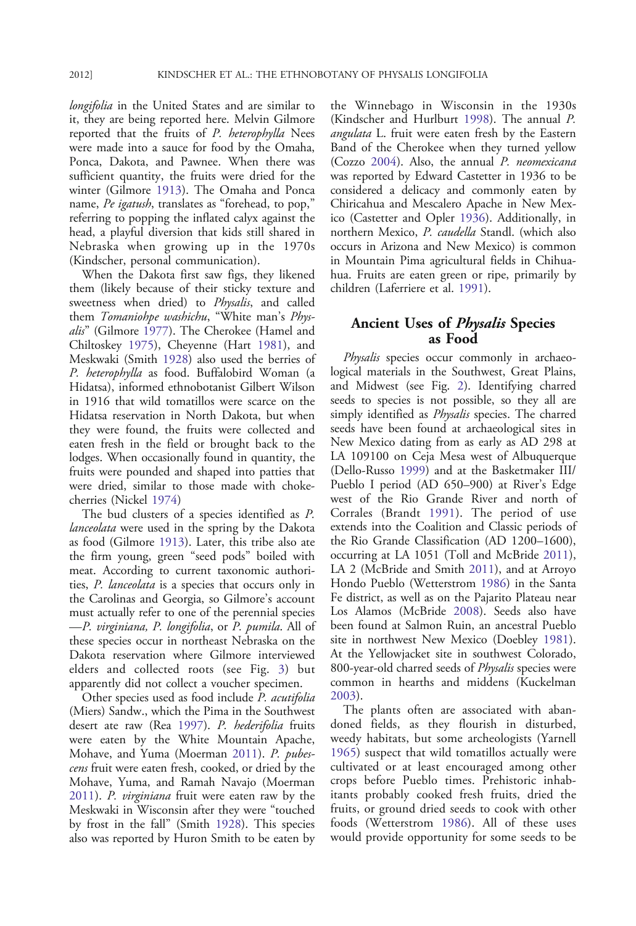longifolia in the United States and are similar to it, they are being reported here. Melvin Gilmore reported that the fruits of P. heterophylla Nees were made into a sauce for food by the Omaha, Ponca, Dakota, and Pawnee. When there was sufficient quantity, the fruits were dried for the winter (Gilmore [1913](#page-10-0)). The Omaha and Ponca name, Pe igatush, translates as "forehead, to pop," referring to popping the inflated calyx against the head, a playful diversion that kids still shared in Nebraska when growing up in the 1970s (Kindscher, personal communication).

When the Dakota first saw figs, they likened them (likely because of their sticky texture and sweetness when dried) to Physalis, and called them Tomaniohpe washichu, "White man's Physalis" (Gilmore [1977](#page-10-0)). The Cherokee (Hamel and Chiltoskey [1975\)](#page-10-0), Cheyenne (Hart [1981](#page-10-0)), and Meskwaki (Smith [1928](#page-11-0)) also used the berries of P. heterophylla as food. Buffalobird Woman (a Hidatsa), informed ethnobotanist Gilbert Wilson in 1916 that wild tomatillos were scarce on the Hidatsa reservation in North Dakota, but when they were found, the fruits were collected and eaten fresh in the field or brought back to the lodges. When occasionally found in quantity, the fruits were pounded and shaped into patties that were dried, similar to those made with chokecherries (Nickel [1974\)](#page-11-0)

The bud clusters of a species identified as P. *lanceolata* were used in the spring by the Dakota as food (Gilmore [1913\)](#page-10-0). Later, this tribe also ate the firm young, green "seed pods" boiled with meat. According to current taxonomic authorities, P. lanceolata is a species that occurs only in the Carolinas and Georgia, so Gilmore's account must actually refer to one of the perennial species —P. virginiana, P. longifolia, or P. pumila. All of these species occur in northeast Nebraska on the Dakota reservation where Gilmore interviewed elders and collected roots (see Fig. [3\)](#page-5-0) but apparently did not collect a voucher specimen.

Other species used as food include P. acutifolia (Miers) Sandw., which the Pima in the Southwest desert ate raw (Rea [1997](#page-11-0)). P. hederifolia fruits were eaten by the White Mountain Apache, Mohave, and Yuma (Moerman [2011\)](#page-11-0). P. pubescens fruit were eaten fresh, cooked, or dried by the Mohave, Yuma, and Ramah Navajo (Moerman [2011\)](#page-11-0). P. virginiana fruit were eaten raw by the Meskwaki in Wisconsin after they were "touched by frost in the fall" (Smith [1928\)](#page-11-0). This species also was reported by Huron Smith to be eaten by the Winnebago in Wisconsin in the 1930s (Kindscher and Hurlburt [1998\)](#page-10-0). The annual P. angulata L. fruit were eaten fresh by the Eastern Band of the Cherokee when they turned yellow (Cozzo [2004\)](#page-9-0). Also, the annual P. neomexicana was reported by Edward Castetter in 1936 to be considered a delicacy and commonly eaten by Chiricahua and Mescalero Apache in New Mexico (Castetter and Opler [1936\)](#page-9-0). Additionally, in northern Mexico, P. caudella Standl. (which also occurs in Arizona and New Mexico) is common in Mountain Pima agricultural fields in Chihuahua. Fruits are eaten green or ripe, primarily by children (Laferriere et al. [1991\)](#page-10-0).

# Ancient Uses of Physalis Species as Food

Physalis species occur commonly in archaeological materials in the Southwest, Great Plains, and Midwest (see Fig. [2\)](#page-3-0). Identifying charred seeds to species is not possible, so they all are simply identified as Physalis species. The charred seeds have been found at archaeological sites in New Mexico dating from as early as AD 298 at LA 109100 on Ceja Mesa west of Albuquerque (Dello-Russo [1999\)](#page-9-0) and at the Basketmaker III/ Pueblo I period (AD 650–900) at River's Edge west of the Rio Grande River and north of Corrales (Brandt [1991](#page-9-0)). The period of use extends into the Coalition and Classic periods of the Rio Grande Classification (AD 1200–1600), occurring at LA 1051 (Toll and McBride [2011\)](#page-11-0), LA 2 (McBride and Smith [2011\)](#page-10-0), and at Arroyo Hondo Pueblo (Wetterstrom [1986\)](#page-11-0) in the Santa Fe district, as well as on the Pajarito Plateau near Los Alamos (McBride [2008\)](#page-10-0). Seeds also have been found at Salmon Ruin, an ancestral Pueblo site in northwest New Mexico (Doebley [1981\)](#page-9-0). At the Yellowjacket site in southwest Colorado, 800-year-old charred seeds of Physalis species were common in hearths and middens (Kuckelman [2003](#page-10-0)).

The plants often are associated with abandoned fields, as they flourish in disturbed, weedy habitats, but some archeologists (Yarnell [1965](#page-12-0)) suspect that wild tomatillos actually were cultivated or at least encouraged among other crops before Pueblo times. Prehistoric inhabitants probably cooked fresh fruits, dried the fruits, or ground dried seeds to cook with other foods (Wetterstrom [1986\)](#page-11-0). All of these uses would provide opportunity for some seeds to be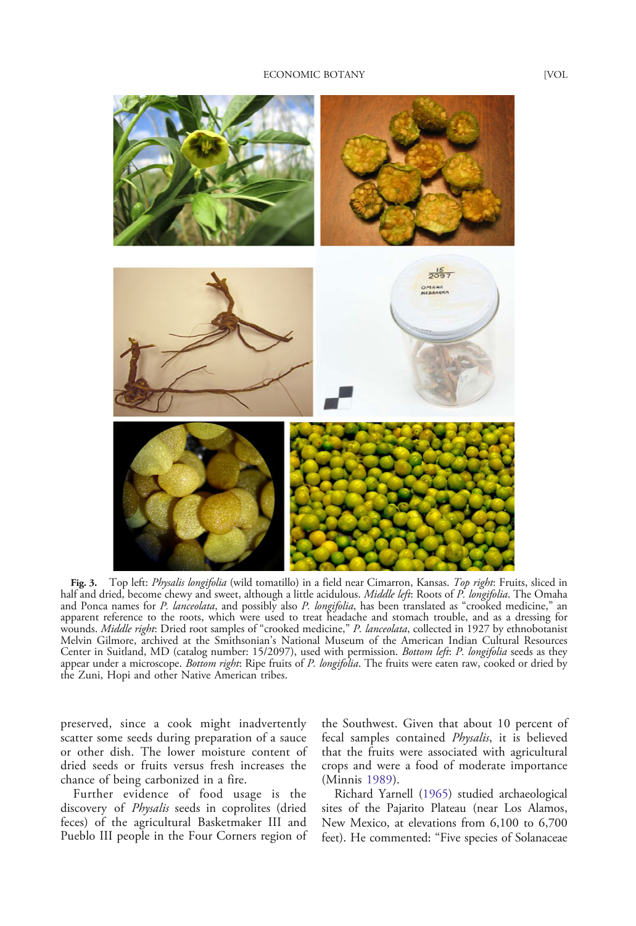<span id="page-5-0"></span>

Fig. 3. Top left: *Physalis longifolia* (wild tomatillo) in a field near Cimarron, Kansas. Top right: Fruits, sliced in half and dried, become chewy and sweet, although a little acidulous. Middle left: Roots of P. longifolia. The Omaha and Ponca names for P. lanceolata, and possibly also P. longifolia, has been translated as "crooked medicine," an apparent reference to the roots, which were used to treat headache and stomach trouble, and as a dressing for wounds. Middle right: Dried root samples of "crooked medicine," P. lanceolata, collected in 1927 by ethnobotanist Melvin Gilmore, archived at the Smithsonian's National Museum of the American Indian Cultural Resources Center in Suitland, MD (catalog number: 15/2097), used with permission. Bottom left: P. longifolia seeds as they appear under a microscope. Bottom right: Ripe fruits of P. longifolia. The fruits were eaten raw, cooked or dried by the Zuni, Hopi and other Native American tribes.

preserved, since a cook might inadvertently scatter some seeds during preparation of a sauce or other dish. The lower moisture content of dried seeds or fruits versus fresh increases the chance of being carbonized in a fire.

Further evidence of food usage is the discovery of Physalis seeds in coprolites (dried feces) of the agricultural Basketmaker III and Pueblo III people in the Four Corners region of the Southwest. Given that about 10 percent of fecal samples contained Physalis, it is believed that the fruits were associated with agricultural crops and were a food of moderate importance (Minnis [1989](#page-10-0)).

Richard Yarnell ([1965\)](#page-12-0) studied archaeological sites of the Pajarito Plateau (near Los Alamos, New Mexico, at elevations from 6,100 to 6,700 feet). He commented: "Five species of Solanaceae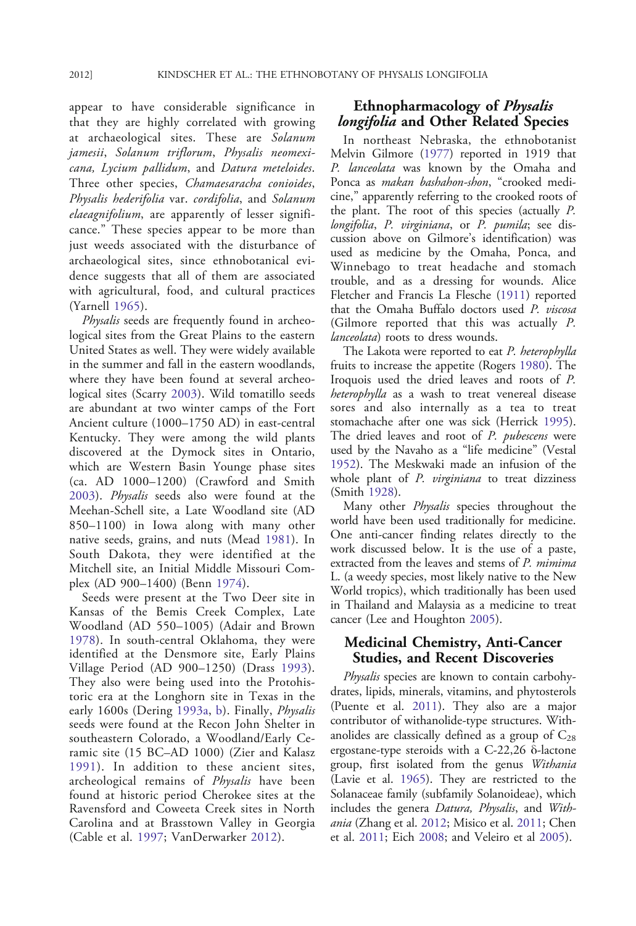appear to have considerable significance in that they are highly correlated with growing at archaeological sites. These are Solanum jamesii, Solanum triflorum, Physalis neomexicana, Lycium pallidum, and Datura meteloides. Three other species, Chamaesaracha conioides, Physalis hederifolia var. cordifolia, and Solanum elaeagnifolium, are apparently of lesser significance." These species appear to be more than just weeds associated with the disturbance of archaeological sites, since ethnobotanical evidence suggests that all of them are associated with agricultural, food, and cultural practices (Yarnell [1965](#page-12-0)).

Physalis seeds are frequently found in archeological sites from the Great Plains to the eastern United States as well. They were widely available in the summer and fall in the eastern woodlands, where they have been found at several archeological sites (Scarry [2003\)](#page-11-0). Wild tomatillo seeds are abundant at two winter camps of the Fort Ancient culture (1000–1750 AD) in east-central Kentucky. They were among the wild plants discovered at the Dymock sites in Ontario, which are Western Basin Younge phase sites (ca. AD 1000–1200) (Crawford and Smith [2003](#page-9-0)). Physalis seeds also were found at the Meehan-Schell site, a Late Woodland site (AD 850–1100) in Iowa along with many other native seeds, grains, and nuts (Mead [1981\)](#page-10-0). In South Dakota, they were identified at the Mitchell site, an Initial Middle Missouri Complex (AD 900–1400) (Benn [1974\)](#page-9-0).

Seeds were present at the Two Deer site in Kansas of the Bemis Creek Complex, Late Woodland (AD 550–1005) (Adair and Brown [1978](#page-9-0)). In south-central Oklahoma, they were identified at the Densmore site, Early Plains Village Period (AD 900–1250) (Drass [1993](#page-9-0)). They also were being used into the Protohistoric era at the Longhorn site in Texas in the early 1600s (Dering [1993a](#page-9-0), [b](#page-9-0)). Finally, *Physalis* seeds were found at the Recon John Shelter in southeastern Colorado, a Woodland/Early Ceramic site (15 BC–AD 1000) (Zier and Kalasz [1991](#page-12-0)). In addition to these ancient sites, archeological remains of Physalis have been found at historic period Cherokee sites at the Ravensford and Coweeta Creek sites in North Carolina and at Brasstown Valley in Georgia (Cable et al. [1997](#page-9-0); VanDerwarker [2012\)](#page-11-0).

# Ethnopharmacology of Physalis longifolia and Other Related Species

In northeast Nebraska, the ethnobotanist Melvin Gilmore ([1977\)](#page-10-0) reported in 1919 that P. lanceolata was known by the Omaha and Ponca as *makan bashahon-shon*, "crooked medicine," apparently referring to the crooked roots of the plant. The root of this species (actually P. longifolia, P. virginiana, or P. pumila; see discussion above on Gilmore's identification) was used as medicine by the Omaha, Ponca, and Winnebago to treat headache and stomach trouble, and as a dressing for wounds. Alice Fletcher and Francis La Flesche [\(1911](#page-10-0)) reported that the Omaha Buffalo doctors used P. viscosa (Gilmore reported that this was actually P. lanceolata) roots to dress wounds.

The Lakota were reported to eat P. heterophylla fruits to increase the appetite (Rogers [1980](#page-11-0)). The Iroquois used the dried leaves and roots of P. heterophylla as a wash to treat venereal disease sores and also internally as a tea to treat stomachache after one was sick (Herrick [1995\)](#page-10-0). The dried leaves and root of P. pubescens were used by the Navaho as a "life medicine" (Vestal [1952](#page-11-0)). The Meskwaki made an infusion of the whole plant of P. virginiana to treat dizziness (Smith [1928\)](#page-11-0).

Many other *Physalis* species throughout the world have been used traditionally for medicine. One anti-cancer finding relates directly to the work discussed below. It is the use of a paste, extracted from the leaves and stems of P. mimima L. (a weedy species, most likely native to the New World tropics), which traditionally has been used in Thailand and Malaysia as a medicine to treat cancer (Lee and Houghton [2005](#page-10-0)).

# Medicinal Chemistry, Anti-Cancer Studies, and Recent Discoveries

Physalis species are known to contain carbohydrates, lipids, minerals, vitamins, and phytosterols (Puente et al. [2011\)](#page-11-0). They also are a major contributor of withanolide-type structures. Withanolides are classically defined as a group of  $C_{28}$ ergostane-type steroids with a C-22,26 δ-lactone group, first isolated from the genus Withania (Lavie et al. [1965](#page-10-0)). They are restricted to the Solanaceae family (subfamily Solanoideae), which includes the genera Datura, Physalis, and Withania (Zhang et al. [2012;](#page-12-0) Misico et al. [2011](#page-11-0); Chen et al. [2011](#page-9-0); Eich [2008;](#page-9-0) and Veleiro et al [2005\)](#page-11-0).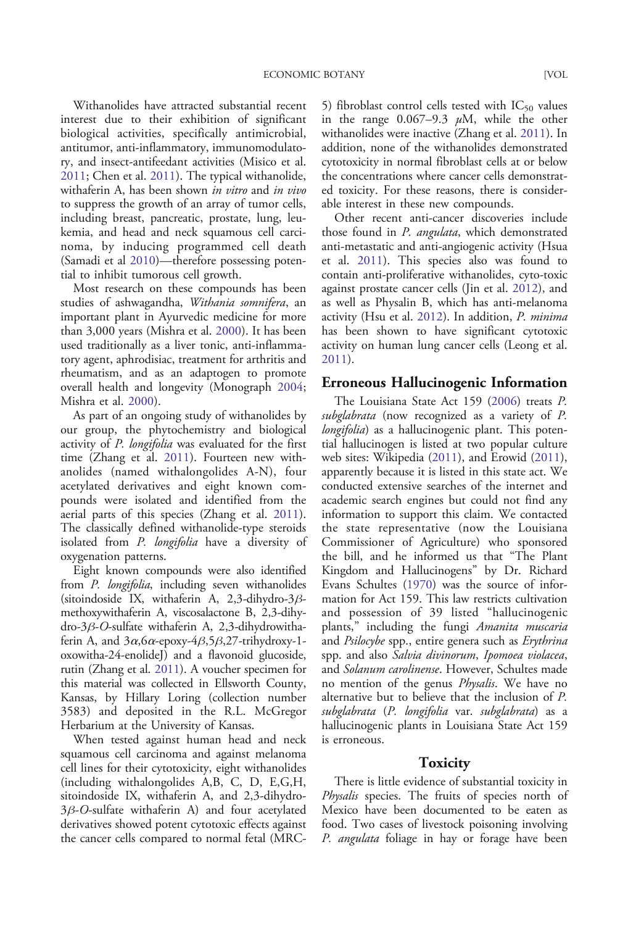Withanolides have attracted substantial recent interest due to their exhibition of significant biological activities, specifically antimicrobial, antitumor, anti-inflammatory, immunomodulato-

ry, and insect-antifeedant activities (Misico et al. [2011](#page-11-0); Chen et al. [2011\)](#page-9-0). The typical withanolide, withaferin A, has been shown in vitro and in vivo to suppress the growth of an array of tumor cells, including breast, pancreatic, prostate, lung, leukemia, and head and neck squamous cell carcinoma, by inducing programmed cell death (Samadi et al [2010](#page-11-0))—therefore possessing potential to inhibit tumorous cell growth.

Most research on these compounds has been studies of ashwagandha, Withania somnifera, an important plant in Ayurvedic medicine for more than 3,000 years (Mishra et al. [2000\)](#page-11-0). It has been used traditionally as a liver tonic, anti-inflammatory agent, aphrodisiac, treatment for arthritis and rheumatism, and as an adaptogen to promote overall health and longevity (Monograph [2004;](#page-11-0) Mishra et al. [2000\)](#page-11-0).

As part of an ongoing study of withanolides by our group, the phytochemistry and biological activity of *P. longifolia* was evaluated for the first time (Zhang et al. [2011\)](#page-12-0). Fourteen new withanolides (named withalongolides A-N), four acetylated derivatives and eight known compounds were isolated and identified from the aerial parts of this species (Zhang et al. [2011\)](#page-12-0). The classically defined withanolide-type steroids isolated from P. longifolia have a diversity of oxygenation patterns.

Eight known compounds were also identified from P. longifolia, including seven withanolides (sitoindoside IX, withaferin A, 2,3-dihydro-3βmethoxywithaferin A, viscosalactone B, 2,3-dihydro-3β-O-sulfate withaferin A, 2,3-dihydrowithaferin A, and  $3\alpha$ ,  $6\alpha$ -epoxy- $4\beta$ ,  $5\beta$ ,  $27$ -trihydroxy-1oxowitha-24-enolideJ) and a flavonoid glucoside, rutin (Zhang et al. [2011\)](#page-12-0). A voucher specimen for this material was collected in Ellsworth County, Kansas, by Hillary Loring (collection number 3583) and deposited in the R.L. McGregor Herbarium at the University of Kansas.

When tested against human head and neck squamous cell carcinoma and against melanoma cell lines for their cytotoxicity, eight withanolides (including withalongolides A,B, C, D, E,G,H, sitoindoside IX, withaferin A, and 2,3-dihydro-3β-O-sulfate withaferin A) and four acetylated derivatives showed potent cytotoxic effects against the cancer cells compared to normal fetal (MRC-

5) fibroblast control cells tested with  $IC_{50}$  values in the range  $0.067-9.3 \mu M$ , while the other withanolides were inactive (Zhang et al. [2011\)](#page-12-0). In addition, none of the withanolides demonstrated cytotoxicity in normal fibroblast cells at or below the concentrations where cancer cells demonstrated toxicity. For these reasons, there is considerable interest in these new compounds.

Other recent anti-cancer discoveries include those found in P. angulata, which demonstrated anti-metastatic and anti-angiogenic activity (Hsua et al. [2011](#page-10-0)). This species also was found to contain anti-proliferative withanolides, cyto-toxic against prostate cancer cells (Jin et al. [2012\)](#page-10-0), and as well as Physalin B, which has anti-melanoma activity (Hsu et al. [2012\)](#page-10-0). In addition, P. minima has been shown to have significant cytotoxic activity on human lung cancer cells (Leong et al. [2011](#page-10-0)).

#### Erroneous Hallucinogenic Information

The Louisiana State Act 159 [\(2006](#page-10-0)) treats P. subglabrata (now recognized as a variety of P. longifolia) as a hallucinogenic plant. This potential hallucinogen is listed at two popular culture web sites: Wikipedia [\(2011](#page-12-0)), and Erowid ([2011\)](#page-10-0), apparently because it is listed in this state act. We conducted extensive searches of the internet and academic search engines but could not find any information to support this claim. We contacted the state representative (now the Louisiana Commissioner of Agriculture) who sponsored the bill, and he informed us that "The Plant Kingdom and Hallucinogens" by Dr. Richard Evans Schultes [\(1970](#page-11-0)) was the source of information for Act 159. This law restricts cultivation and possession of 39 listed "hallucinogenic plants," including the fungi Amanita muscaria and *Psilocybe* spp., entire genera such as *Erythrina* spp. and also Salvia divinorum, Ipomoea violacea, and Solanum carolinense. However, Schultes made no mention of the genus Physalis. We have no alternative but to believe that the inclusion of P. subglabrata (P. longifolia var. subglabrata) as a hallucinogenic plants in Louisiana State Act 159 is erroneous.

#### **Toxicity**

There is little evidence of substantial toxicity in Physalis species. The fruits of species north of Mexico have been documented to be eaten as food. Two cases of livestock poisoning involving P. angulata foliage in hay or forage have been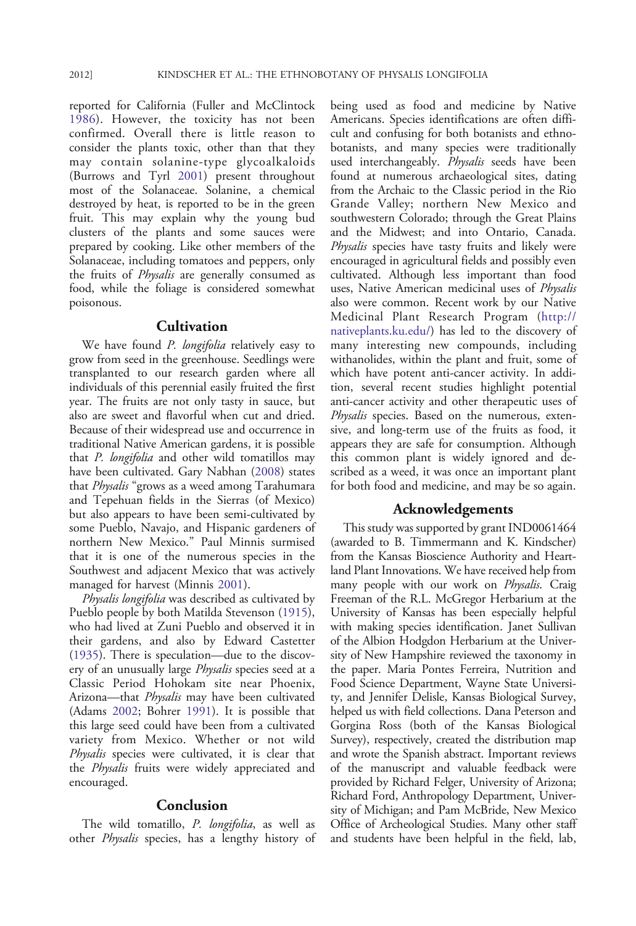reported for California (Fuller and McClintock [1986](#page-10-0)). However, the toxicity has not been confirmed. Overall there is little reason to consider the plants toxic, other than that they may contain solanine-type glycoalkaloids (Burrows and Tyrl [2001](#page-9-0)) present throughout most of the Solanaceae. Solanine, a chemical destroyed by heat, is reported to be in the green fruit. This may explain why the young bud clusters of the plants and some sauces were prepared by cooking. Like other members of the Solanaceae, including tomatoes and peppers, only the fruits of Physalis are generally consumed as food, while the foliage is considered somewhat poisonous.

# **Cultivation**

We have found P. longifolia relatively easy to grow from seed in the greenhouse. Seedlings were transplanted to our research garden where all individuals of this perennial easily fruited the first year. The fruits are not only tasty in sauce, but also are sweet and flavorful when cut and dried. Because of their widespread use and occurrence in traditional Native American gardens, it is possible that P. longifolia and other wild tomatillos may have been cultivated. Gary Nabhan [\(2008](#page-11-0)) states that *Physalis* "grows as a weed among Tarahumara and Tepehuan fields in the Sierras (of Mexico) but also appears to have been semi-cultivated by some Pueblo, Navajo, and Hispanic gardeners of northern New Mexico." Paul Minnis surmised that it is one of the numerous species in the Southwest and adjacent Mexico that was actively managed for harvest (Minnis [2001](#page-11-0)).

Physalis longifolia was described as cultivated by Pueblo people by both Matilda Stevenson ([1915](#page-11-0)), who had lived at Zuni Pueblo and observed it in their gardens, and also by Edward Castetter ([1935\)](#page-9-0). There is speculation—due to the discovery of an unusually large *Physalis* species seed at a Classic Period Hohokam site near Phoenix, Arizona—that *Physalis* may have been cultivated (Adams [2002](#page-9-0); Bohrer [1991\)](#page-9-0). It is possible that this large seed could have been from a cultivated variety from Mexico. Whether or not wild Physalis species were cultivated, it is clear that the *Physalis* fruits were widely appreciated and encouraged.

## Conclusion

The wild tomatillo, P. longifolia, as well as other Physalis species, has a lengthy history of being used as food and medicine by Native Americans. Species identifications are often difficult and confusing for both botanists and ethnobotanists, and many species were traditionally used interchangeably. Physalis seeds have been found at numerous archaeological sites, dating from the Archaic to the Classic period in the Rio Grande Valley; northern New Mexico and southwestern Colorado; through the Great Plains and the Midwest; and into Ontario, Canada. Physalis species have tasty fruits and likely were encouraged in agricultural fields and possibly even cultivated. Although less important than food uses, Native American medicinal uses of Physalis also were common. Recent work by our Native Medicinal Plant Research Program ([http://](http://nativeplants.ku.edu/) [nativeplants.ku.edu/\)](http://nativeplants.ku.edu/) has led to the discovery of many interesting new compounds, including withanolides, within the plant and fruit, some of which have potent anti-cancer activity. In addition, several recent studies highlight potential anti-cancer activity and other therapeutic uses of Physalis species. Based on the numerous, extensive, and long-term use of the fruits as food, it appears they are safe for consumption. Although this common plant is widely ignored and described as a weed, it was once an important plant for both food and medicine, and may be so again.

#### Acknowledgements

This study was supported by grant IND0061464 (awarded to B. Timmermann and K. Kindscher) from the Kansas Bioscience Authority and Heartland Plant Innovations. We have received help from many people with our work on Physalis. Craig Freeman of the R.L. McGregor Herbarium at the University of Kansas has been especially helpful with making species identification. Janet Sullivan of the Albion Hodgdon Herbarium at the University of New Hampshire reviewed the taxonomy in the paper. Maria Pontes Ferreira, Nutrition and Food Science Department, Wayne State University, and Jennifer Delisle, Kansas Biological Survey, helped us with field collections. Dana Peterson and Gorgina Ross (both of the Kansas Biological Survey), respectively, created the distribution map and wrote the Spanish abstract. Important reviews of the manuscript and valuable feedback were provided by Richard Felger, University of Arizona; Richard Ford, Anthropology Department, University of Michigan; and Pam McBride, New Mexico Office of Archeological Studies. Many other staff and students have been helpful in the field, lab,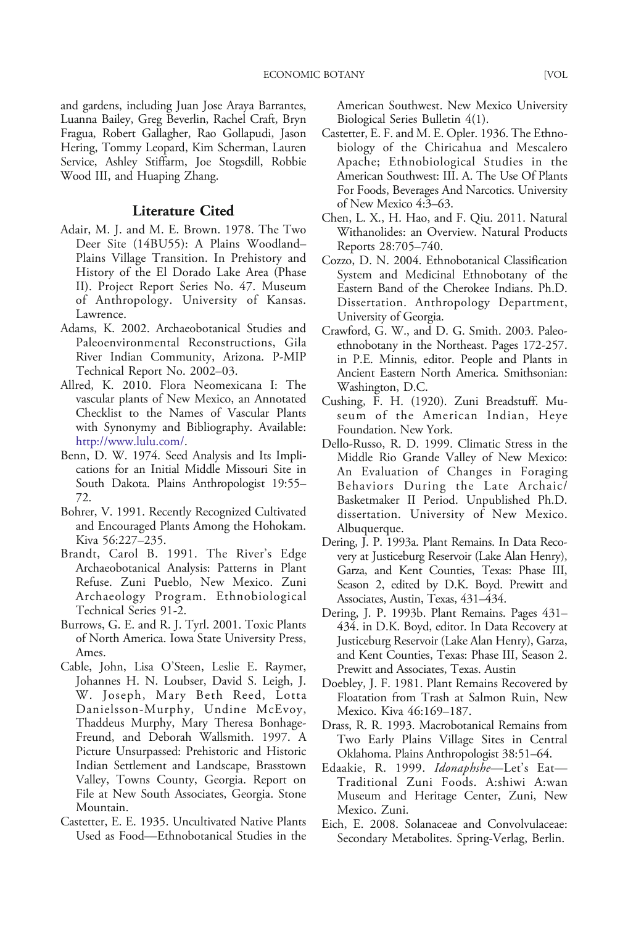<span id="page-9-0"></span>and gardens, including Juan Jose Araya Barrantes, Luanna Bailey, Greg Beverlin, Rachel Craft, Bryn Fragua, Robert Gallagher, Rao Gollapudi, Jason Hering, Tommy Leopard, Kim Scherman, Lauren Service, Ashley Stiffarm, Joe Stogsdill, Robbie Wood III, and Huaping Zhang.

# Literature Cited

- Adair, M. J. and M. E. Brown. 1978. The Two Deer Site (14BU55): A Plains Woodland– Plains Village Transition. In Prehistory and History of the El Dorado Lake Area (Phase II). Project Report Series No. 47. Museum of Anthropology. University of Kansas. Lawrence.
- Adams, K. 2002. Archaeobotanical Studies and Paleoenvironmental Reconstructions, Gila River Indian Community, Arizona. P-MIP Technical Report No. 2002–03.
- Allred, K. 2010. Flora Neomexicana I: The vascular plants of New Mexico, an Annotated Checklist to the Names of Vascular Plants with Synonymy and Bibliography. Available: <http://www.lulu.com/>.
- Benn, D. W. 1974. Seed Analysis and Its Implications for an Initial Middle Missouri Site in South Dakota. Plains Anthropologist 19:55– 72.
- Bohrer, V. 1991. Recently Recognized Cultivated and Encouraged Plants Among the Hohokam. Kiva 56:227–235.
- Brandt, Carol B. 1991. The River's Edge Archaeobotanical Analysis: Patterns in Plant Refuse. Zuni Pueblo, New Mexico. Zuni Archaeology Program. Ethnobiological Technical Series 91-2.
- Burrows, G. E. and R. J. Tyrl. 2001. Toxic Plants of North America. Iowa State University Press, Ames.
- Cable, John, Lisa O'Steen, Leslie E. Raymer, Johannes H. N. Loubser, David S. Leigh, J. W. Joseph, Mary Beth Reed, Lotta Danielsson-Murphy, Undine McEvoy, Thaddeus Murphy, Mary Theresa Bonhage-Freund, and Deborah Wallsmith. 1997. A Picture Unsurpassed: Prehistoric and Historic Indian Settlement and Landscape, Brasstown Valley, Towns County, Georgia. Report on File at New South Associates, Georgia. Stone Mountain.
- Castetter, E. E. 1935. Uncultivated Native Plants Used as Food—Ethnobotanical Studies in the

American Southwest. New Mexico University Biological Series Bulletin 4(1).

- Castetter, E. F. and M. E. Opler. 1936. The Ethnobiology of the Chiricahua and Mescalero Apache; Ethnobiological Studies in the American Southwest: III. A. The Use Of Plants For Foods, Beverages And Narcotics. University of New Mexico 4:3–63.
- Chen, L. X., H. Hao, and F. Qiu. 2011. Natural Withanolides: an Overview. Natural Products Reports 28:705–740.
- Cozzo, D. N. 2004. Ethnobotanical Classification System and Medicinal Ethnobotany of the Eastern Band of the Cherokee Indians. Ph.D. Dissertation. Anthropology Department, University of Georgia.
- Crawford, G. W., and D. G. Smith. 2003. Paleoethnobotany in the Northeast. Pages 172-257. in P.E. Minnis, editor. People and Plants in Ancient Eastern North America. Smithsonian: Washington, D.C.
- Cushing, F. H. (1920). Zuni Breadstuff. Museum of the American Indian, Heye Foundation. New York.
- Dello-Russo, R. D. 1999. Climatic Stress in the Middle Rio Grande Valley of New Mexico: An Evaluation of Changes in Foraging Behaviors During the Late Archaic/ Basketmaker II Period. Unpublished Ph.D. dissertation. University of New Mexico. Albuquerque.
- Dering, J. P. 1993a. Plant Remains. In Data Recovery at Justiceburg Reservoir (Lake Alan Henry), Garza, and Kent Counties, Texas: Phase III, Season 2, edited by D.K. Boyd. Prewitt and Associates, Austin, Texas, 431–434.
- Dering, J. P. 1993b. Plant Remains. Pages 431– 434. in D.K. Boyd, editor. In Data Recovery at Justiceburg Reservoir (Lake Alan Henry), Garza, and Kent Counties, Texas: Phase III, Season 2. Prewitt and Associates, Texas. Austin
- Doebley, J. F. 1981. Plant Remains Recovered by Floatation from Trash at Salmon Ruin, New Mexico. Kiva 46:169–187.
- Drass, R. R. 1993. Macrobotanical Remains from Two Early Plains Village Sites in Central Oklahoma. Plains Anthropologist 38:51–64.
- Edaakie, R. 1999. Idonaphshe—Let's Eat— Traditional Zuni Foods. A:shiwi A:wan Museum and Heritage Center, Zuni, New Mexico. Zuni.
- Eich, E. 2008. Solanaceae and Convolvulaceae: Secondary Metabolites. Spring-Verlag, Berlin.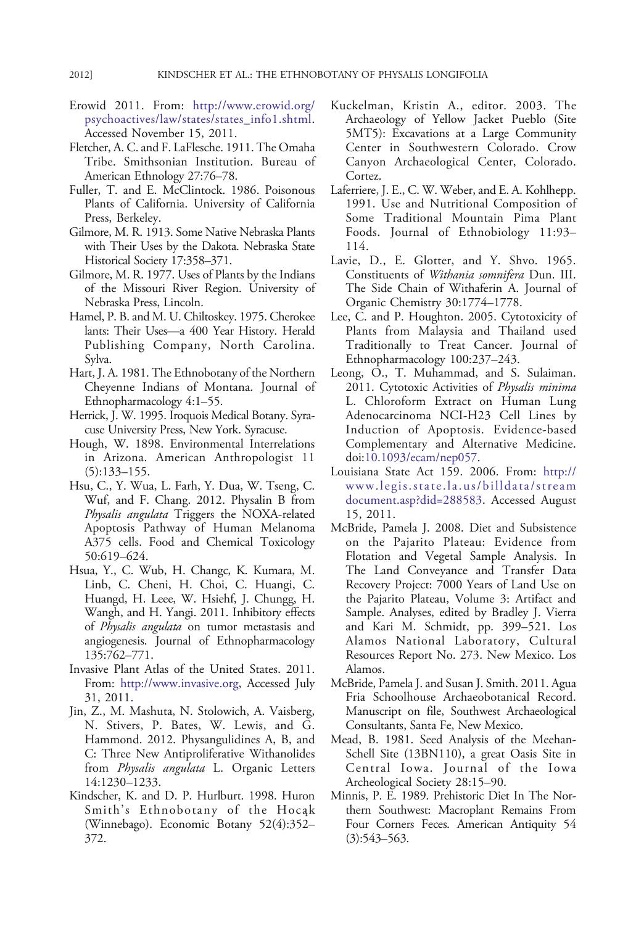- <span id="page-10-0"></span>Erowid 2011. From: [http://www.erowid.org/](http://www.erowid.org/psychoactives/law/states/states_info1.shtml) [psychoactives/law/states/states\\_info1.shtml.](http://www.erowid.org/psychoactives/law/states/states_info1.shtml) Accessed November 15, 2011.
- Fletcher, A. C. and F. LaFlesche. 1911. The Omaha Tribe. Smithsonian Institution. Bureau of American Ethnology 27:76–78.
- Fuller, T. and E. McClintock. 1986. Poisonous Plants of California. University of California Press, Berkeley.
- Gilmore, M. R. 1913. Some Native Nebraska Plants with Their Uses by the Dakota. Nebraska State Historical Society 17:358–371.
- Gilmore, M. R. 1977. Uses of Plants by the Indians of the Missouri River Region. University of Nebraska Press, Lincoln.
- Hamel, P. B. and M. U. Chiltoskey. 1975. Cherokee lants: Their Uses—a 400 Year History. Herald Publishing Company, North Carolina. Sylva.
- Hart, J. A. 1981. The Ethnobotany of the Northern Cheyenne Indians of Montana. Journal of Ethnopharmacology 4:1–55.
- Herrick, J. W. 1995. Iroquois Medical Botany. Syracuse University Press, New York. Syracuse.
- Hough, W. 1898. Environmental Interrelations in Arizona. American Anthropologist 11 (5):133–155.
- Hsu, C., Y. Wua, L. Farh, Y. Dua, W. Tseng, C. Wuf, and F. Chang. 2012. Physalin B from Physalis angulata Triggers the NOXA-related Apoptosis Pathway of Human Melanoma A375 cells. Food and Chemical Toxicology 50:619–624.
- Hsua, Y., C. Wub, H. Changc, K. Kumara, M. Linb, C. Cheni, H. Choi, C. Huangi, C. Huangd, H. Leee, W. Hsiehf, J. Chungg, H. Wangh, and H. Yangi. 2011. Inhibitory effects of Physalis angulata on tumor metastasis and angiogenesis. Journal of Ethnopharmacology 135:762–771.
- Invasive Plant Atlas of the United States. 2011. From: <http://www.invasive.org>, Accessed July 31, 2011.
- Jin, Z., M. Mashuta, N. Stolowich, A. Vaisberg, N. Stivers, P. Bates, W. Lewis, and G. Hammond. 2012. Physangulidines A, B, and C: Three New Antiproliferative Withanolides from Physalis angulata L. Organic Letters 14:1230–1233.
- Kindscher, K. and D. P. Hurlburt. 1998. Huron Smith's Ethnobotany of the Hocąk (Winnebago). Economic Botany 52(4):352– 372.
- Kuckelman, Kristin A., editor. 2003. The Archaeology of Yellow Jacket Pueblo (Site 5MT5): Excavations at a Large Community Center in Southwestern Colorado. Crow Canyon Archaeological Center, Colorado. Cortez.
- Laferriere, J. E., C. W. Weber, and E. A. Kohlhepp. 1991. Use and Nutritional Composition of Some Traditional Mountain Pima Plant Foods. Journal of Ethnobiology 11:93– 114.
- Lavie, D., E. Glotter, and Y. Shvo. 1965. Constituents of Withania somnifera Dun. III. The Side Chain of Withaferin A. Journal of Organic Chemistry 30:1774–1778.
- Lee, C. and P. Houghton. 2005. Cytotoxicity of Plants from Malaysia and Thailand used Traditionally to Treat Cancer. Journal of Ethnopharmacology 100:237–243.
- Leong, O., T. Muhammad, and S. Sulaiman. 2011. Cytotoxic Activities of Physalis minima L. Chloroform Extract on Human Lung Adenocarcinoma NCI-H23 Cell Lines by Induction of Apoptosis. Evidence-based Complementary and Alternative Medicine. doi:[10.1093/ecam/nep057](http://dx.doi.org/10.1093/ecam/nep057).
- Louisiana State Act 159. 2006. From: [http://](http://www.legis.state.la.us/billdata/streamdocument.asp?did=288583) [www.legis.state.la.us/billdata/stream](http://www.legis.state.la.us/billdata/streamdocument.asp?did=288583) [document.asp?did=288583](http://www.legis.state.la.us/billdata/streamdocument.asp?did=288583). Accessed August 15, 2011.
- McBride, Pamela J. 2008. Diet and Subsistence on the Pajarito Plateau: Evidence from Flotation and Vegetal Sample Analysis. In The Land Conveyance and Transfer Data Recovery Project: 7000 Years of Land Use on the Pajarito Plateau, Volume 3: Artifact and Sample. Analyses, edited by Bradley J. Vierra and Kari M. Schmidt, pp. 399–521. Los Alamos National Laboratory, Cultural Resources Report No. 273. New Mexico. Los Alamos.
- McBride, Pamela J. and Susan J. Smith. 2011. Agua Fria Schoolhouse Archaeobotanical Record. Manuscript on file, Southwest Archaeological Consultants, Santa Fe, New Mexico.
- Mead, B. 1981. Seed Analysis of the Meehan-Schell Site (13BN110), a great Oasis Site in Central Iowa. Journal of the Iowa Archeological Society 28:15–90.
- Minnis, P. E. 1989. Prehistoric Diet In The Northern Southwest: Macroplant Remains From Four Corners Feces. American Antiquity 54 (3):543–563.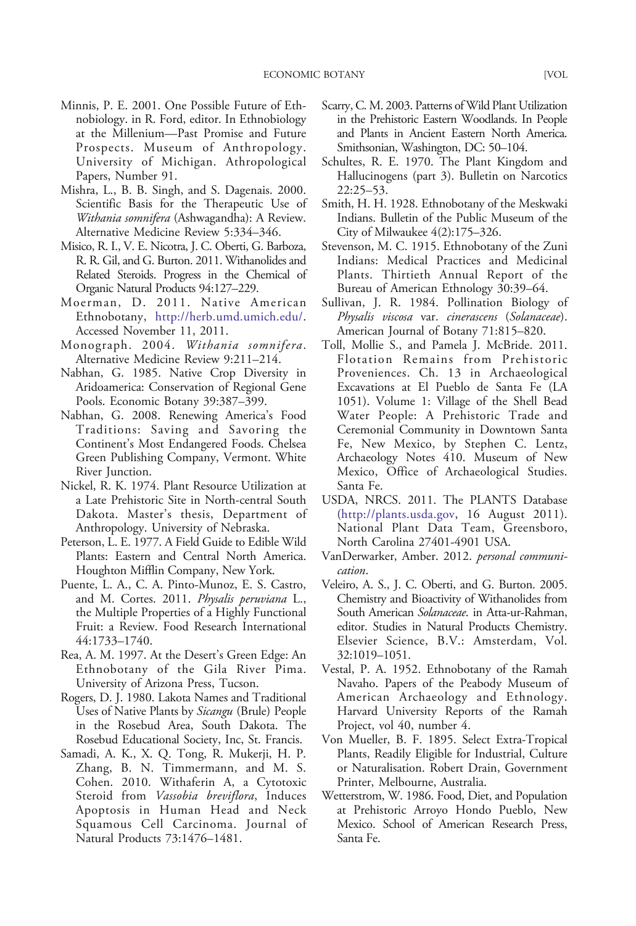- <span id="page-11-0"></span>Minnis, P. E. 2001. One Possible Future of Ethnobiology. in R. Ford, editor. In Ethnobiology at the Millenium—Past Promise and Future Prospects. Museum of Anthropology. University of Michigan. Athropological Papers, Number 91.
- Mishra, L., B. B. Singh, and S. Dagenais. 2000. Scientific Basis for the Therapeutic Use of Withania somnifera (Ashwagandha): A Review. Alternative Medicine Review 5:334–346.
- Misico, R. I., V. E. Nicotra, J. C. Oberti, G. Barboza, R. R. Gil, and G. Burton. 2011. Withanolides and Related Steroids. Progress in the Chemical of Organic Natural Products 94:127–229.
- Moerman, D. 2011. Native American Ethnobotany, [http://herb.umd.umich.edu/.](http://herb.umd.umich.edu/) Accessed November 11, 2011.
- Monograph. 2004. Withania somnifera. Alternative Medicine Review 9:211–214.
- Nabhan, G. 1985. Native Crop Diversity in Aridoamerica: Conservation of Regional Gene Pools. Economic Botany 39:387–399.
- Nabhan, G. 2008. Renewing America's Food Traditions: Saving and Savoring the Continent's Most Endangered Foods. Chelsea Green Publishing Company, Vermont. White River Junction.
- Nickel, R. K. 1974. Plant Resource Utilization at a Late Prehistoric Site in North-central South Dakota. Master's thesis, Department of Anthropology. University of Nebraska.
- Peterson, L. E. 1977. A Field Guide to Edible Wild Plants: Eastern and Central North America. Houghton Mifflin Company, New York.
- Puente, L. A., C. A. Pinto-Munoz, E. S. Castro, and M. Cortes. 2011. Physalis peruviana L., the Multiple Properties of a Highly Functional Fruit: a Review. Food Research International 44:1733–1740.
- Rea, A. M. 1997. At the Desert's Green Edge: An Ethnobotany of the Gila River Pima. University of Arizona Press, Tucson.
- Rogers, D. J. 1980. Lakota Names and Traditional Uses of Native Plants by *Sicangu* (Brule) People in the Rosebud Area, South Dakota. The Rosebud Educational Society, Inc, St. Francis.
- Samadi, A. K., X. Q. Tong, R. Mukerji, H. P. Zhang, B. N. Timmermann, and M. S. Cohen. 2010. Withaferin A, a Cytotoxic Steroid from Vassobia breviflora, Induces Apoptosis in Human Head and Neck Squamous Cell Carcinoma. Journal of Natural Products 73:1476–1481.
- Scarry, C. M. 2003. Patterns of Wild Plant Utilization in the Prehistoric Eastern Woodlands. In People and Plants in Ancient Eastern North America. Smithsonian, Washington, DC: 50–104.
- Schultes, R. E. 1970. The Plant Kingdom and Hallucinogens (part 3). Bulletin on Narcotics 22:25–53.
- Smith, H. H. 1928. Ethnobotany of the Meskwaki Indians. Bulletin of the Public Museum of the City of Milwaukee 4(2):175–326.
- Stevenson, M. C. 1915. Ethnobotany of the Zuni Indians: Medical Practices and Medicinal Plants. Thirtieth Annual Report of the Bureau of American Ethnology 30:39–64.
- Sullivan, J. R. 1984. Pollination Biology of Physalis viscosa var. cinerascens (Solanaceae). American Journal of Botany 71:815–820.
- Toll, Mollie S., and Pamela J. McBride. 2011. Flotation Remains from Prehistoric Proveniences. Ch. 13 in Archaeological Excavations at El Pueblo de Santa Fe (LA 1051). Volume 1: Village of the Shell Bead Water People: A Prehistoric Trade and Ceremonial Community in Downtown Santa Fe, New Mexico, by Stephen C. Lentz, Archaeology Notes 410. Museum of New Mexico, Office of Archaeological Studies. Santa Fe.
- USDA, NRCS. 2011. The PLANTS Database ([http://plants.usda.gov,](http://plants.usda.gov) 16 August 2011). National Plant Data Team, Greensboro, North Carolina 27401-4901 USA.
- VanDerwarker, Amber. 2012. personal communication.
- Veleiro, A. S., J. C. Oberti, and G. Burton. 2005. Chemistry and Bioactivity of Withanolides from South American Solanaceae. in Atta-ur-Rahman, editor. Studies in Natural Products Chemistry. Elsevier Science, B.V.: Amsterdam, Vol. 32:1019–1051.
- Vestal, P. A. 1952. Ethnobotany of the Ramah Navaho. Papers of the Peabody Museum of American Archaeology and Ethnology. Harvard University Reports of the Ramah Project, vol 40, number 4.
- Von Mueller, B. F. 1895. Select Extra-Tropical Plants, Readily Eligible for Industrial, Culture or Naturalisation. Robert Drain, Government Printer, Melbourne, Australia.
- Wetterstrom, W. 1986. Food, Diet, and Population at Prehistoric Arroyo Hondo Pueblo, New Mexico. School of American Research Press, Santa Fe.